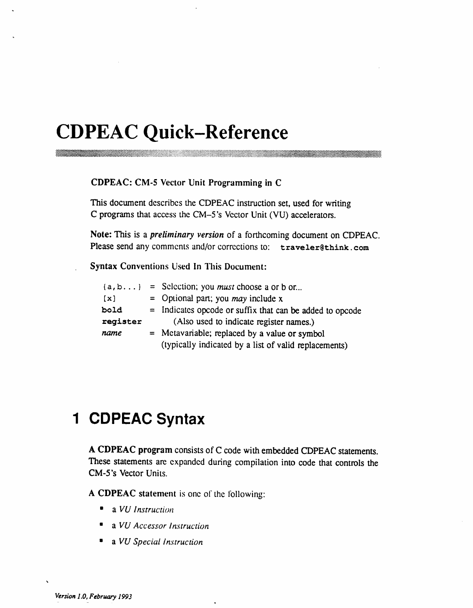# **CDPEAC Quick-Reference**

CDPEAC: CM-5 Vector Unit Programming in C

This document describes the CDPEAC instruction set, used for writing C programs that access the CM-5's Vector Unit (VU) accelerators.

Note: This is a *preliminary version* of a forthcoming document on CDPEAC. Please send any comments and/or corrections to: traveler@think.com

**Syntax Conventions Used In This Document:** 

|          | ${a, b}$ = Selection; you <i>must</i> choose a or b or   |  |  |
|----------|----------------------------------------------------------|--|--|
| $\{x\}$  | = Optional part; you <i>may</i> include $x$              |  |  |
| bold     | = Indicates opcode or suffix that can be added to opcode |  |  |
| register | (Also used to indicate register names.)                  |  |  |
| name     | = Metavariable; replaced by a value or symbol            |  |  |
|          | (typically indicated by a list of valid replacements)    |  |  |

# 1 CDPEAC Syntax

A CDPEAC program consists of C code with embedded CDPEAC statements. These statements are expanded during compilation into code that controls the CM-5's Vector Units.

A CDPEAC statement is one of the following:

- $\bullet$  a VU Instruction
- a VU Accessor Instruction
- **a** VU Special Instruction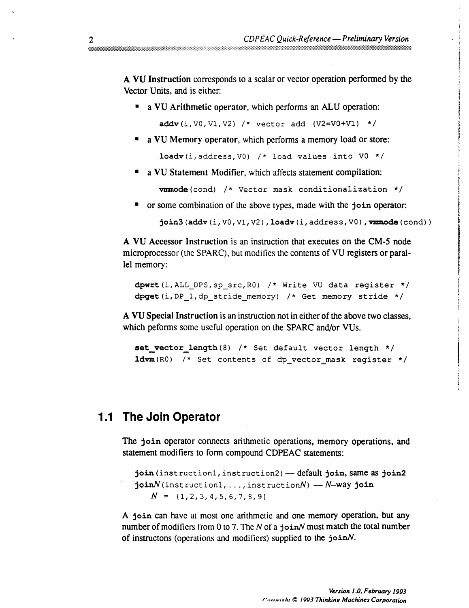A VU Instruction corresponds to a scalar or vector operation performed by the Vector Units, and is either:

• a VU Arithmetic operator, which performs an ALU operation:

 $addv(i, V0, V1, V2)$  /\* vector add (V2=V0+V1) \*/

a VU Memory operator, which performs a memory load or store:

loadv(i, address, V0) /\* load values into V0 \*/

a VU Statement Modifier, which affects statement compilation:

vmmode(cond) /\* Vector mask conditionalization \*/

or some combination of the above types, made with the join operator:

join3(addv(i, V0, V1, V2), loadv(i, address, V0), vmmode(cond))

A VU Accessor Instruction is an instruction that executes on the CM-5 node microprocessor (the SPARC), but modifies the contents of VU registers or parallel memory:

dpwrt(i, ALL\_DPS, sp\_src, R0) /\* Write VU data register \*/ dpget(i, DP 1, dp stride memory) /\* Get memory stride \*/

A VU Special Instruction is an instruction not in either of the above two classes, which peforms some useful operation on the SPARC and/or VUs.

set vector\_length(8) /\* Set default vector length \*/  $1$ dvm(R0) /\* Set contents of dp vector mask register \*/

## 1.1 The Join Operator

The join operator connects arithmetic operations, memory operations, and statement modifiers to form compound CDPEAC statements:

```
join (instruction1, instruction2) - default join, same as join2
\mathbf{join}N (instruction1, ..., instructionN) - N-way \mathbf{join}N = \{1, 2, 3, 4, 5, 6, 7, 8, 9\}
```
A join can have at most one arithmetic and one memory operation, but any number of modifiers from 0 to 7. The  $N$  of a join N must match the total number of instructons (operations and modifiers) supplied to the  $joinN$ .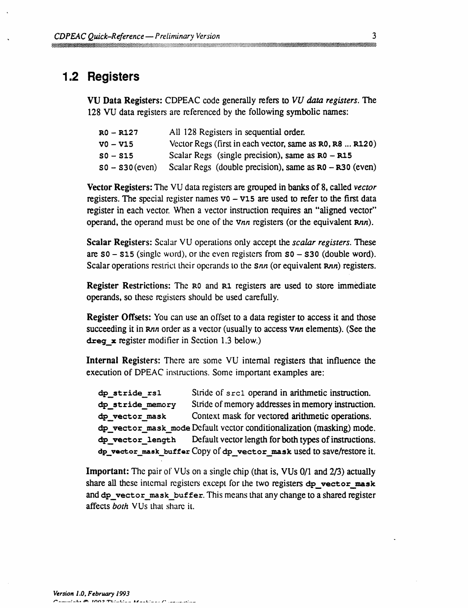## 1.2 Registers

VU Data Registers: CDPEAC code generally refers to VU data registers. The 128 VU data registers are referenced by the following symbolic names:

| RO – R127           | All 128 Registers in sequential order.                    |
|---------------------|-----------------------------------------------------------|
| $V0 - V15$          | Vector Regs (first in each vector, same as R0, R8  R120)  |
| $S_0 - S_1S_1$      | Scalar Regs (single precision), same as $R0 - R15$        |
| $S_0 - S_30$ (even) | Scalar Regs (double precision), same as $R0 - R30$ (even) |

Vector Registers: The VU data registers are grouped in banks of 8, called vector registers. The special register names  $v_0 - v_1$  are used to refer to the first data register in each vector. When a vector instruction requires an "aligned vector" operand, the operand must be one of the vnn registers (or the equivalent Rnn).

**Scalar Registers:** Scalar VU operations only accept the *scalar registers*. These are  $50 - 515$  (single word), or the even registers from  $50 - 530$  (double word). Scalar operations restrict their operands to the *snn* (or equivalent *Rnn*) registers.

**Register Restrictions:** The R<sub>0</sub> and R<sub>1</sub> registers are used to store immediate operands, so these registers should be used carefully.

**Register Offsets:** You can use an offset to a data register to access it and those succeeding it in Rnn order as a vector (usually to access Vnn elements). (See the dreg  $\boldsymbol{\times}$  register modifier in Section 1.3 below.)

Internal Registers: There are some VU internal registers that influence the execution of DPEAC instructions. Some important examples are:

```
dp_stride_rs1
                       Stride of sect operand in arithmetic instruction.
dp stride memory
                       Stride of memory addresses in memory instruction.
dp vector mask
                       Context mask for vectored arithmetic operations.
dp vector mask mode Default vector conditionalization (masking) mode.
dp vector length
                       Default vector length for both types of instructions.
dp_vector_mask_buffer Copy of dp_vector_mask used to save/restore it.
```
**Important:** The pair of VUs on a single chip (that is, VUs 0/1 and 2/3) actually share all these internal registers except for the two registers dp vector mask and dp vector mask buffer. This means that any change to a shared register affects both VUs that share it.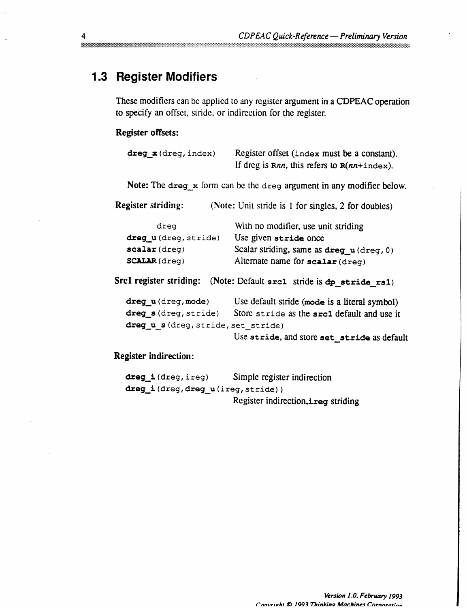## 1.3 Register Modifiers

These modifiers can be applied to any register argument in a CDPEAC operation to specify an offset, stride, or indirection for the register.

### **Register offsets:**

| $\text{dreg}_x(\text{dreg}, \text{index})$ | Register offset (index must be a constant).<br>If dreg is $Rnn$ , this refers to $R(nn+index)$ . |
|--------------------------------------------|--------------------------------------------------------------------------------------------------|
|                                            | Note: The $\text{dreg}_x$ form can be the $\text{dreg}$ argument in any modifier below.          |
| <b>Register striding:</b>                  | (Note: Unit stride is 1 for singles, 2 for doubles)                                              |
| dreg                                       | With no modifier, use unit striding                                                              |
| dreg_u(dreg, stride)                       | Use given stride once                                                                            |
| scalar (dreg)                              | Scalar striding, same as dreg_u(dreg, 0)                                                         |
| <b>SCALAR</b> (dreg)                       | Alternate name for scalar (dreg)                                                                 |
|                                            | Src1 register striding: (Note: Default src1 stride is dp_stride_rs1)                             |
| dreg u (dreg, mode)                        | Use default stride (mode is a literal symbol)                                                    |
| dreg_s(dreg, stride)                       | Store stride as the src1 default and use it                                                      |
| dreg_u_s(dreg, stride, set_stride)         |                                                                                                  |
|                                            | Use stride, and store set_stride as default                                                      |
| <b>Register indirection:</b>               |                                                                                                  |

| dreg i(dreg, ireg)               | Simple register indirection          |
|----------------------------------|--------------------------------------|
| dreg_i(dreg,dreg_u(ireg,stride)) |                                      |
|                                  | Register indirection, i reg striding |

**mananana**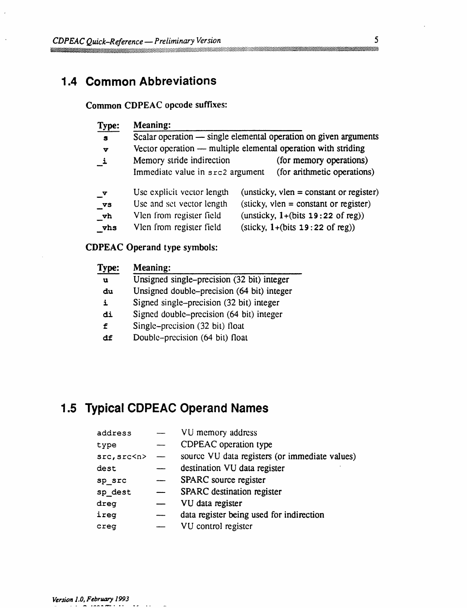## **1.4 Common Abbreviations**

### Common CDPEAC opcode suffixes:

| Type:                  | <b>Meaning:</b>                                                  |                                                                               |  |  |
|------------------------|------------------------------------------------------------------|-------------------------------------------------------------------------------|--|--|
| $\mathbf{s}$           | Scalar operation — single elemental operation on given arguments |                                                                               |  |  |
| v                      |                                                                  | Vector operation — multiple elemental operation with striding                 |  |  |
| $\mathbf{i}$           | Memory stride indirection                                        | (for memory operations)                                                       |  |  |
|                        | Immediate value in src2 argument                                 | (for arithmetic operations)                                                   |  |  |
| $\mathbf{v}$           | Use explicit vector length                                       | (unsticky, $vlen = constant$ or register)                                     |  |  |
| $\mathbf{v}\mathbf{s}$ | Use and set vector length                                        | $(\text{stick}y, \text{ vlen} = \text{constant} \text{ or \text{ register}})$ |  |  |
| vh                     | Vlen from register field                                         | (unsticky, $1+(bits 19:22 of reg)$ )                                          |  |  |
| vhs                    | Vlen from register field                                         | $(slicky, 1+(bits 19:22 of reg))$                                             |  |  |

### **CDPEAC Operand type symbols:**

| <b>Type:</b> | <b>Meaning:</b>                            |  |  |
|--------------|--------------------------------------------|--|--|
| $\mathbf u$  | Unsigned single-precision (32 bit) integer |  |  |
| du           | Unsigned double–precision (64 bit) integer |  |  |
| i            | Signed single-precision (32 bit) integer   |  |  |
| di           | Signed double-precision (64 bit) integer   |  |  |
| £            | Single-precision (32 bit) float            |  |  |
| df           | Double-precision (64 bit) float            |  |  |

## 1.5 Typical CDPEAC Operand Names

| address      |     | VU memory address                              |
|--------------|-----|------------------------------------------------|
| type         |     | CDPEAC operation type                          |
| src, src < n | $-$ | source VU data registers (or immediate values) |
| dest         |     | destination VU data register                   |
| sp src       |     | SPARC source register                          |
| sp dest      |     | <b>SPARC</b> destination register              |
| dreg         |     | VU data register                               |
| ireq         |     | data register being used for indirection       |
| creq         |     | VU control register                            |
|              |     |                                                |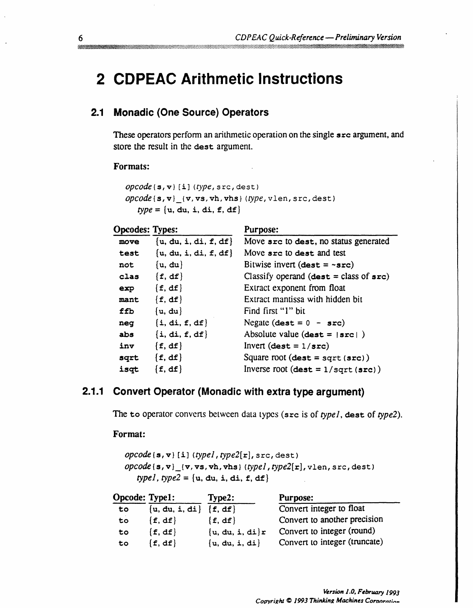# **2 CDPEAC Arithmetic Instructions**

## 2.1 Monadic (One Source) Operators

These operators perform an arithmetic operation on the single src argument, and store the result in the dest argument.

Purpose:

#### Formats:

```
opcode(s,v)[i](type, src, dest)\it{opcode(s,v)}_{{\scriptscriptstyle \perp}} (v, vs, vh, vhs) (type, vlen, src, dest)
    type = \{u, du, i, di, f, df\}
```
#### **Opcodes: Types:**

| move | $\{u, du, i, di, f, df\}$ | Move src to dest, no status generated                     |
|------|---------------------------|-----------------------------------------------------------|
| test | $\{u, du, i, di, f, df\}$ | Move src to dest and test                                 |
| not  | $\{u, du\}$               | Bitwise invert (dest = $~5$ rc)                           |
| clas | $\{f, df\}$               | Classify operand (dest = class of $src)$ )                |
| exp  | $\{f, df\}$               | Extract exponent from float                               |
| mant | $\{f, df\}$               | Extract mantissa with hidden bit                          |
| ffb  | $\{u, du\}$               | Find first "1" bit                                        |
| neg  | $\{i, di, f, df\}$        | Negate $(\text{dest} = 0 - \text{src})$                   |
| abs  | $\{i, di, f, df\}$        | Absolute value $(\text{dest} =  \text{src} )$             |
| inv  | $\{f, df\}$               | Invert $(\text{dest} = 1/\text{src})$                     |
| sqrt | $\{f, df\}$               | Square root $(\text{dest} = \text{sqrt}( \text{src}))$    |
| isqt | $\{f, df\}$               | Inverse root $(\text{dest} = 1/\text{sqrt}( \text{src}))$ |

### 2.1.1 Convert Operator (Monadic with extra type argument)

The to operator converts between data types (src is of typel, dest of type2).

#### Format:

 $\textit{opcode}(\mathbf{s}, \mathbf{v})$  [i] (typel, type2[r], src, dest)  $opcode(s,v)_{v}(\texttt{v}, \texttt{vs}, \texttt{vh}, \texttt{vhs})$  (typel, type2[r], vlen, src, dest) typel, type2 =  $\{u, du, i, di, f, df\}$ 

| <b>Opcode: Type1:</b> |                          | Type2:              | <b>Purpose:</b>               |
|-----------------------|--------------------------|---------------------|-------------------------------|
| to                    | ${u, du, i, di} {f, df}$ |                     | Convert integer to float      |
| to                    | $\{f, df\}$              | $\{f, df\}$         | Convert to another precision  |
| to                    | $\{f, df\}$              | $\{u, du, i, di\}r$ | Convert to integer (round)    |
| to                    | $\{f, df\}$              | $\{u, du, i, di\}$  | Convert to integer (truncate) |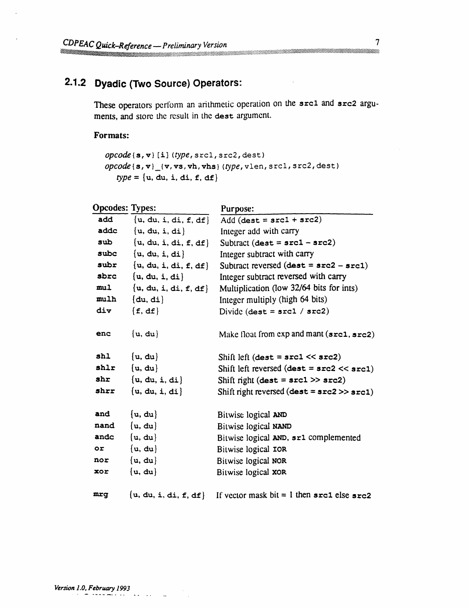## **2.1.2 Dyadic (Two Source) Operators:**

These operators perfbrm an arithmetic operation on the **srcl** and **src2** arguments, and store the result in the dest argument.

#### **Formats:**

```
opcode{s, v} [i] (type, srcl, src2, dest)
opcode { s, v}_(v, vs, vh, vhs } (type, vlen, srcl, src2, dest)
   type = \{u, du, i, di, f, df\}
```

| <b>Opcodes: Types:</b> |                           | Purpose:                                                          |
|------------------------|---------------------------|-------------------------------------------------------------------|
| add                    | ${u, du, i, di, f, df}$   | Add $(\text{dest} = \text{src1} + \text{src2})$                   |
| addc                   | $\{u, du, i, di\}$        | Integer add with carry                                            |
| sub                    | $\{u, du, i, di, f, df\}$ | Subtract $(\text{dest} = \texttt{src1} - \texttt{src2})$          |
| subc                   | $\{u, du, i, di\}$        | Integer subtract with carry                                       |
| subr                   | $\{u, du, i, di, f, df\}$ | Subtract reversed $(dest = src2 - src1)$                          |
| sbrc                   | $\{u, du, i, di\}$        | Integer subtract reversed with carry                              |
| mu1                    | $\{u, du, i, di, f, df\}$ | Multiplication (low 32/64 bits for ints)                          |
| mulh                   | (du, di)                  | Integer multiply (high 64 bits)                                   |
| div                    | $\{f, df\}$               | Divide $(\text{dest} = \text{src1} / \text{src2})$                |
| enc                    | ${u, du}$                 | Make float from exp and mant (src1, src2)                         |
| shl                    | $\{u, du\}$               | Shift left (dest = $src1 \ll src2$ )                              |
| shlr                   | $\{u, du\}$               | Shift left reversed $(\text{dest} = \text{src2} << \text{src1})$  |
| shr                    | $\{u, du, i, di\}$        | Shift right (dest = $src1$ >> $src2$ )                            |
| shrr                   | $\{u, du, i, di\}$        | Shift right reversed $(\text{dest} = \text{src2} >> \text{src1})$ |
| and                    | ${u, du}$                 | Bitwise logical AND                                               |
| nand                   | ${u, du}$                 | Bitwise logical NAND                                              |
| andc                   | $\{u, du\}$               | Bitwise logical AND, sr1 complemented                             |
| or.                    | ${u, du}$                 | Bitwise logical IOR                                               |
| nor                    | $\{u, du\}$               | Bitwise logical NOR                                               |
| xor                    | ${u, du}$                 | Bitwise logical XOR                                               |
| mrq                    | $\{u, du, i, di, f, df\}$ | If vector mask bit = 1 then $src1$ else $src2$                    |

in a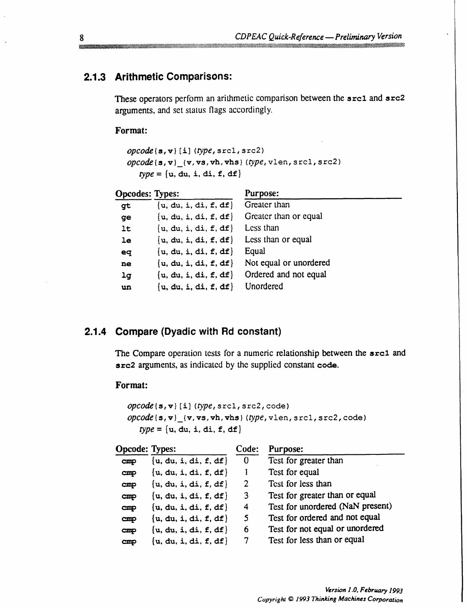### 2.1.3 Arithmetic Comparisons:

These operators perform an arithmetic comparison between the src1 and src2 arguments, and set status flags accordingly.

Format:

```
opcode{\s, v}[i](type, srcl, src2)
\textit{opcode}\left\{\mathbf{s},\mathbf{v}\right\}\left[\left\{\mathbf{v},\mathbf{v}\mathbf{s},\mathbf{v}\mathbf{h},\mathbf{v}\mathbf{h}\mathbf{s}\right\} (type, vlen, src1, src2)
      type = \{u, du, i, di, f, df\}
```

| <b>Opcodes: Types:</b> |                           | Purpose:               |
|------------------------|---------------------------|------------------------|
| gt                     | $\{u, du, i, di, f, df\}$ | Greater than           |
| ge                     | $\{u, du, i, di, f, df\}$ | Greater than or equal  |
| 1 <sub>t</sub>         | $\{u, du, i, di, f, df\}$ | Less than              |
| 1e                     | $\{u, du, i, di, f, df\}$ | Less than or equal     |
| eq                     | $\{u, du, i, di, f, df\}$ | Equal                  |
| ne                     | $\{u, du, i, di, f, df\}$ | Not equal or unordered |
| 1 <sub>g</sub>         | $\{u, du, i, di, f, df\}$ | Ordered and not equal  |
| un                     | $\{u, du, i, di, f, df\}$ | Unordered              |

#### 2.1.4 Compare (Dyadic with Rd constant)

The Compare operation tests for a numeric relationship between the src1 and src2 arguments, as indicated by the supplied constant code.

Format:

```
\textit{opcode}\left\{s,v\right\} [i] (type, srcl, src2, code)
opcode(s,v) {v, vs, vh, vhs} (type, vlen, src1, src2, code)
   type = \{u, du, i, di, f, df\}
```

| <b>Opcode: Types:</b> |                           | Code:          | Purpose:                         |
|-----------------------|---------------------------|----------------|----------------------------------|
| cmp                   | $\{u, du, i, di, f, df\}$ | $\mathbf{0}$   | Test for greater than            |
| $\text{cmp}$          | $\{u, du, i, di, f, df\}$ |                | Test for equal                   |
| cmp                   | $\{u, du, i, di, f, df\}$ | $\overline{2}$ | Test for less than               |
| $\mathbf{cmp}$        | $\{u, du, i, di, f, df\}$ | $\mathbf{3}$   | Test for greater than or equal   |
| $\mathbf{cmp}$        | $\{u, du, i, di, f, df\}$ | 4              | Test for unordered (NaN present) |
| $\mathbf{cmp}$        | $\{u, du, i, di, f, df\}$ | 5.             | Test for ordered and not equal   |
| $\mathbf{cmp}$        | $\{u, du, i, di, f, df\}$ | 6              | Test for not equal or unordered  |
| $_{\rm cmp}$          | $\{u, du, i, di, f, df\}$ | 7              | Test for less than or equal      |

8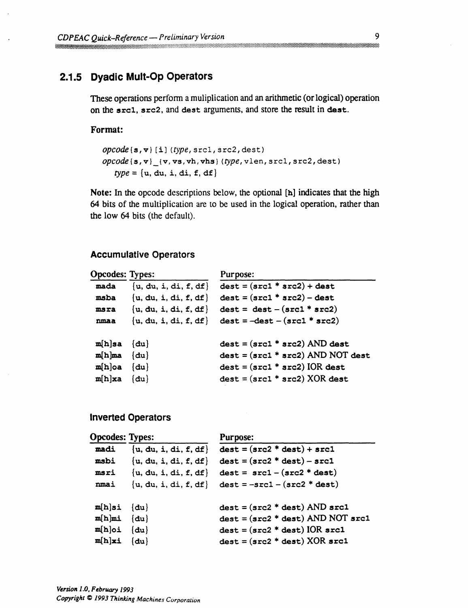### 2.1.5 Dyadic Mult-Op Operators

These operations perform a muliplication and an arithmetic (or logical) operation on the src1, src2, and dest arguments, and store the result in dest.

#### Format:

```
\textit{opcode}\left\{s,v\right\} [i] (type, src1, src2, dest)
\textit{opcode}\left\{\mathbf{s}, \mathbf{v}\right\} \{\mathbf{v}, \mathbf{v}\mathbf{s}, \mathbf{v}\mathbf{h}, \mathbf{v}\mathbf{h}\mathbf{s}\} (type, vlen, src1, src2, dest)
      type = \{u, du, i, di, f, df\}
```
Note: In the opcode descriptions below, the optional [h] indicates that the high 64 bits of the multiplication are to be used in the logical operation, rather than the low 64 bits (the default).

#### **Accumulative Operators**

| Opcodes: Types: |                           | Purpose:                            |
|-----------------|---------------------------|-------------------------------------|
| mada            | $\{u, du, i, di, f, df\}$ | $dest = (src1 * src2) + dest$       |
| msba            | $\{u, du, i, di, f, df\}$ | $dest = (src1 * src2) - dest$       |
| msra            | $\{u, du, i, di, f, df\}$ | $dest = dest - (src1 * src2)$       |
| nmaa            | $\{u, du, i, di, f, df\}$ | $dest = -dest - (src1 * src2)$      |
| $m[h]$ sa       | $\{du\}$                  | $dest = (src1 * src2)$ AND dest     |
| $m[h]$ ma       | $\{du\}$                  | $dest = (src1 * src2)$ AND NOT dest |
| $m[h]$ oa       | $\{du\}$                  | $dest = (src1 * src2) IOR dest$     |
| m[h]xa          | $\{du\}$                  | $dest = (src1 * src2) XOR dest$     |
|                 |                           |                                     |

#### **Inverted Operators**

| <b>Opcodes: Types:</b> |                           | <b>Purpose:</b>                     |  |
|------------------------|---------------------------|-------------------------------------|--|
| madi                   | $\{u, du, i, di, f, df\}$ | $dest = (src2 * dest) + src1$       |  |
| msbi                   | $\{u, du, i, di, f, df\}$ | $dest = (src2 * dest) - src1$       |  |
| msri                   | $\{u, du, i, di, f, df\}$ | $dest = src1 - (src2 * dest)$       |  |
| nmai                   | $\{u, du, i, di, f, df\}$ | $dest = -src1 - (src2 * dest)$      |  |
| $m[h]$ si              | $\{du\}$                  | $dest = (src2 * dest) AND src1$     |  |
| $m[h]$ mi              | $\{du\}$                  | $dest = (src2 * dest) AND NOT src1$ |  |
| $m[h]$ oi              | $\{du\}$                  | $dest = (src2 * dest) IOR src1$     |  |
| $m[h]$ xi              | $\{du\}$                  | $dest = (src2 * dest) XOR src1$     |  |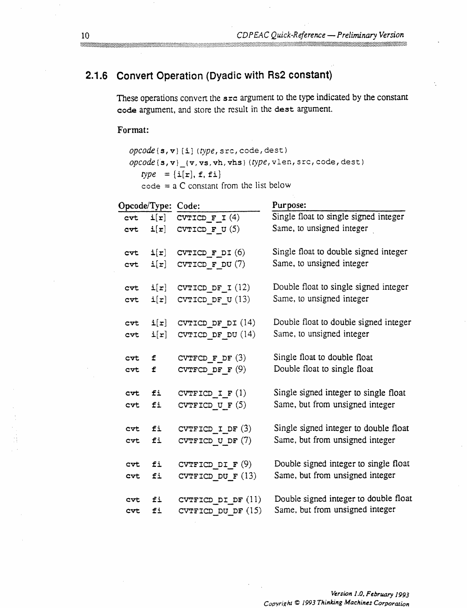## 2.1.6 Convert Operation (Dyadic with Rs2 constant)

These operations convert the src argument to the type indicated by the constant code argument, and store the result in the dest argument.

#### Format:

 $opcode(s, v)[i](type, src, code, dest)$ 

 $\it{opcode(s,v)}_t$  (v, vs, vh, vhs) (type, vlen, src, code, dest)

 $type = \{i[r], f, fi\}$ 

 $code = a C constant from the list below$ 

| Opcode/Type: Code: |                          |                             | Purpose:                              |
|--------------------|--------------------------|-----------------------------|---------------------------------------|
| cvt.               | $\mathtt{i}[\mathtt{r}]$ | CVTICD $F I(4)$             | Single float to single signed integer |
| cvt.               | $\mathtt{i}[\mathtt{r}]$ | CVTICD $\mathbf{F}$ U(5)    | Same, to unsigned integer             |
| cvt.               | $\mathtt{i}[\mathtt{r}]$ | CVTICD $\mathbf F$ DI $(6)$ | Single float to double signed integer |
| cvt                | $\mathtt{i}[\mathtt{r}]$ | CVTICD $\mathbf F$ DU $(7)$ | Same, to unsigned integer             |
| $cv$ t             |                          | $i[r]$ CVTICD DF I (12)     | Double float to single signed integer |
| $cv$ t             | $\mathtt{i}[\mathtt{r}]$ | CVTICD DF $U(13)$           | Same, to unsigned integer             |
| <b>CVL</b>         | $\mathtt{i}[\mathtt{r}]$ | CVTICD DF $DI(14)$          | Double float to double signed integer |
| <b>CVL</b>         | $\mathtt{i}[\mathtt{r}]$ | CVTICD DF DU $(14)$         | Same, to unsigned integer             |
| cvt.               | f.                       | CVTFCD $F$ DF $(3)$         | Single float to double float          |
| cvt                | £                        | CVTFCD DF $F(9)$            | Double float to single float          |
| <b>cvt</b>         | fi                       | CVTFICD $I F(1)$            | Single signed integer to single float |
| cvt                | fi                       | CVTFICD U F $(5)$           | Same, but from unsigned integer       |
| cvt.               | fi                       | CVTFICD I DF $(3)$          | Single signed integer to double float |
| <b>CVL</b>         | fi                       | CVTFICD U DF $(7)$          | Same, but from unsigned integer       |
| cvt                | fi                       | CVTFICD DI $F(9)$           | Double signed integer to single float |
| cvt.               | fi                       | CVTFICD DU $F(13)$          | Same, but from unsigned integer       |
| cvt                | fi                       | CVTFICD DI DF $(11)$        | Double signed integer to double float |
| CVL                | fi                       | CVTFICD_DU_DF (15)          | Same, but from unsigned integer       |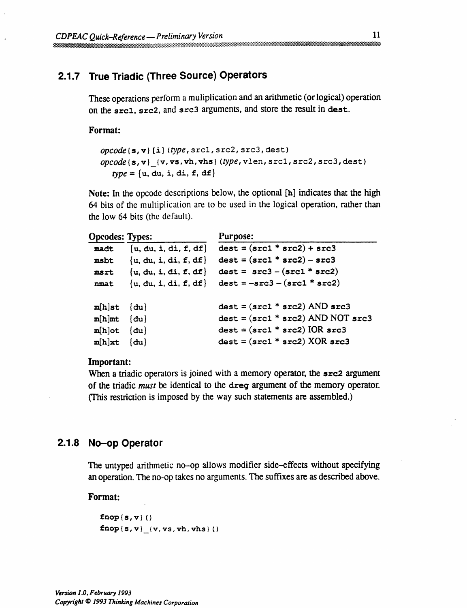## **2.1.7 True Triadic (Three Source) Operators**

These operations perform a muliplication and an arithmetic (or logical) operation on the **srcl,** src2, and src3 arguments, and store the result in **dest.**

·:·:·:~~~:~:·;·i~~:·.·.sii·;l;.i:~~~~''"~''~~"~"~"''~'~~';.2'.~'~····· i ::

·:-."........--.??.....

**Format:**

*opcode{s,v) [i] (type,* srcl, src2, src3, dest) opcode{s,v}\_{(v, vs,vh,vhs} *(type,* vlen, srcl, src2, src3, dest)  $type = \{u, du, i, di, f, df\}$ 

**Note:** In the opcode descriptions below, the optional [h] indicates that the high 64 bits of the multiplication are to be used in the logical operation, rather than the low 64 bits (the default).

**Opcodes: Types:** Purpose:

| - <b>-</b> - - - |                           |                                       |
|------------------|---------------------------|---------------------------------------|
| madt             | $\{u, du, i, di, f, df\}$ | $dest = (src1 * src2) + src3$         |
| msbt             | $\{u, du, i, di, f, df\}$ | $dest = (src1 * src2) - src3$         |
| msrt             | $\{u, du, i, di, f, df\}$ | $dest = src3 - (src1 * src2)$         |
| nmat             | $\{u, du, i, di, f, df\}$ | $dest = -src3 - (src1 * src2)$        |
|                  |                           |                                       |
| $m[h]$ st        | $\{du\}$                  | $dest = (src1 * src2)$ AND $src3$     |
| $m[h]$ mt        | $\{du\}$                  | $dest = (src1 * src2)$ AND NOT $src3$ |
| $m[h]$ ot        | $\{du\}$                  | $dest = (src1 * src2) IOR src3$       |
| $m[h]$ xt        | $\{du\}$                  | $dest = (src1 * src2) XOR src3$       |
|                  |                           |                                       |

#### **Important:**

When a triadic operators is joined with a memory operator, the **src2** argument of the triadic *must* be identical to the dreg argument of the memory operator. (This restriction is imposed by the way such statements are assembled.)

### **2.1.8 No-op Operator**

The untyped arithmetic no-op allows modifier side-effects without specifying an operation. The no-op takes no arguments. The suffixes are as described above.

#### **Format:**

**fnop{s,v}()**  $fnop(s,v)$   $(v,vs,vh,vhs)$  ()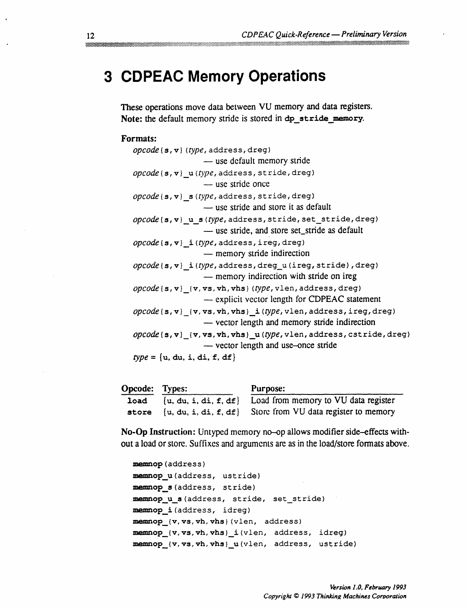# **3 CDPEAC Memory Operations**

These operations move data between VU memory and data registers. Note: the default memory stride is stored in dp\_stride\_memory.

#### **Formats:**

| $\textit{opcode}(\mathbf{s}, \mathbf{v})$ (type, address, dreg)                                                                               |
|-----------------------------------------------------------------------------------------------------------------------------------------------|
| — use default memory stride                                                                                                                   |
| $\textit{opcode}(\mathbf{s}, \mathbf{v})$ <i>u</i> ( <i>type</i> , address, stride, dreg)                                                     |
| - use stride once                                                                                                                             |
| $\textit{opcode}(\mathbf{s}, \mathbf{v})$ s(type, address, stride, dreg)                                                                      |
| - use stride and store it as default                                                                                                          |
| opcode(s, v) u s(type, address, stride, set_stride, dreg)                                                                                     |
| — use stride, and store set_stride as default                                                                                                 |
| $\textit{opcode}\left\{\mathbf{s},\mathbf{v}\right\}$ i( $\textit{type}\right\}$ , address, ireg, dreg)<br>— memory stride indirection        |
| $\it{opcode}(s, v)$ i(type, address, dreg_u(ireg, stride), dreg)<br>— memory indirection with stride on ireg                                  |
| $\it{opcode}$ (s, v) [v, vs, vh, vhs} (type, vlen, address, dreg)<br>- explicit vector length for CDPEAC statement                            |
| $\textit{opcode}(s, v)$ $\{v, vs, vh, vhs\}$ i( $\textit{type}$ , vlen, address, ireg, dreg)<br>- vector length and memory stride indirection |
| $\textit{opcode}(s, v)$ (v, vs, vh, vhs) u(type, vlen, address, cstride, dreg)<br>- vector length and use-once stride                         |
| $type = \{u, du, i, di, f, df\}$                                                                                                              |

| <b>Opcode:</b> Types: | Purpose:                                                                   |
|-----------------------|----------------------------------------------------------------------------|
|                       | <b>load</b> $\{u, du, i, di, f, df\}$ Load from memory to VU data register |
|                       | store $\{u, du, i, di, f, df\}$ Store from VU data register to memory      |

**No-Op** Instruction: Untyped memory no-op allows modifier side-effects without a load or store. Suffixes and arguments are as in the load/store formats above.

```
memnop (address)
memnop_u(address, ustride)
memnop_s (address, stride)
memnop u s (address, stride, set stride)
memnop_i(address, idreg)
memnop_(v, vs,vh, vhs} (vlen, address)
memnop_{v,vs,vh,vhs}_i(vlen, address, idreg)
memnop_{v, vs, vh, vhs}_u(vlen, address, ustride)
```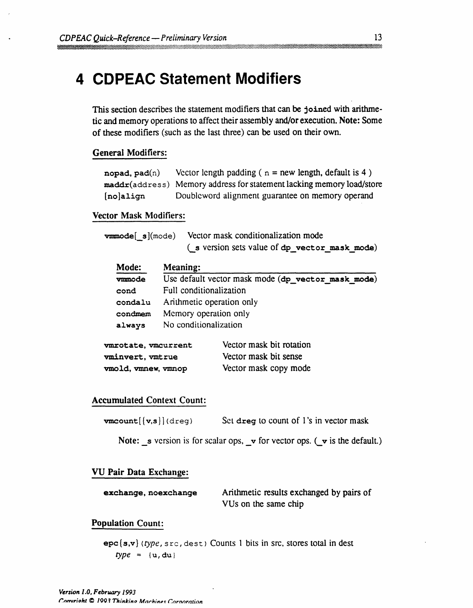# **4 CDPEAC Statement Modifiers**

This section describes the statement modifiers that can be joined with arithmetic and memory operations to affect their assembly and/or execution. Note: Some of these modifiers (such as the last three) can be used on their own.

#### **General Modifiers:**

| nopad, $pad(n)$ | Vector length padding ( $n = new$ length, default is 4)               |
|-----------------|-----------------------------------------------------------------------|
|                 | maddr(address) Memory address for statement lacking memory load/store |
| [no]align       | Doubleword alignment guarantee on memory operand                      |

#### **Vector Mask Modifiers:**

| $v_{\text{mmode}}[s](\text{mode})$ Vector mask conditionalization mode |
|------------------------------------------------------------------------|
| (s version sets value of dp_vector_mask_mode)                          |

| Mode:   | Meaning:                                           |
|---------|----------------------------------------------------|
| vmmode  | Use default vector mask mode (dp vector mask mode) |
| cond    | Full conditionalization                            |
| condalu | Arithmetic operation only                          |
| condmem | Memory operation only                              |
| always  | No conditionalization                              |
|         |                                                    |

| vmrotate, vmcurrent     | Vector mask bit rotation |
|-------------------------|--------------------------|
| <b>vminvert, vmtrue</b> | Vector mask bit sense    |
| vmold, vmnew, vmnop     | Vector mask copy mode    |

#### **Accumulated Context Count:**

| $vmcount([v,s])$ (dreg) | Set dreg to count of 1's in vector mask |
|-------------------------|-----------------------------------------|
|-------------------------|-----------------------------------------|

Note:  $\mathbf{s}$  version is for scalar ops,  $\mathbf{v}$  for vector ops. ( $\mathbf{v}$  is the default.)

#### **VU Pair Data Exchange:**

| exchange, noexchange | Arithmetic results exchanged by pairs of |
|----------------------|------------------------------------------|
|                      | VUs on the same chip                     |

#### **Population Count:**

epc{s,v} *(type,* src, dest) Counts 1 bits in src, stores total in dest  $type = \{u, du\}$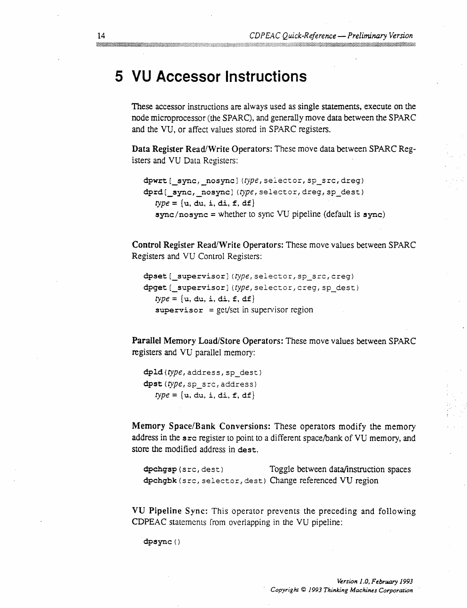## **5 VU Accessor Instructions**

These accessor instructions are always used as single statements, execute on the node microprocessor (the SPARC), and generally move data between the SPARC and the VU, or affect values stored in SPARC registers.

**Data Register** Read/Write Operators: These move data between SPARC Registers and VU Data Registers:

```
dpwrt [_sync,_nosync] (type, selector, sp_src, dreg)
dprd [ sync, nosync] (type, selector, dreg, sp_dest)
   type = \{u, du, i, di, f, df\}sync/nosync = whether to sync VU pipeline (default is sync)
```
**Control Register Read/Write Operators:** These move values between SPARC Registers and VU Control Registers:

```
dpset [_supervisor] (type, selector, sp_src, creg)
dpget [ supervisor] (type, selector, creq, sp dest)
   type = \{u, du, i, di, f, df\}supervisor = get/set in supervisor region
```
**Parallel Memory Load/Store Operators:** These move values between SPARC registers and VU parallel memory:

```
dpld (type, address, sp_dest)
dpst (type, sp_src, address)
   type = \{u, du, i, di, f, df\}
```
**Memory Space/Bank** Conversions: These operators modify the memory address in the src register to point to a different space/bank of VU memory, and store the modified address in dest.

dpchgsp (s rc, dest) Toggle between data/instruction spaces dpchgbk (src, selector, dest) Change referenced VU region

VU **Pipeline** Sync: This operator prevents the preceding and following CDPEAC statements from overlapping in the VU pipeline:

dpsync ()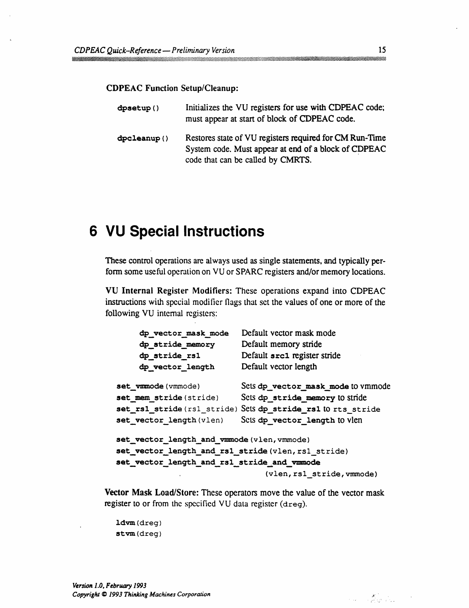#### **CDPEAC Function Setup/Cleanup:**

| $d$ psetup $()$ | Initializes the VU registers for use with CDPEAC code;<br>must appear at start of block of CDPEAC code.                                              |
|-----------------|------------------------------------------------------------------------------------------------------------------------------------------------------|
| dpcleanup()     | Restores state of VU registers required for CM Run-Time<br>System code. Must appear at end of a block of CDPEAC<br>code that can be called by CMRTS. |

## **6 VU Special Instructions**

These control operations are always used as single statements, and typically perform some useful operation on VU or SPARC registers and/or memory locations.

**VU Internal Register Modifiers:** These operations expand into CDPEAC instructions with special modifier flags that set the values of one or more of the following VU internal registers:

| dp_vector_mask_mode                                | Default vector mask mode                                    |  |
|----------------------------------------------------|-------------------------------------------------------------|--|
| dp_stride_memory                                   | Default memory stride                                       |  |
| dp_stride_rs1                                      | Default src1 register stride                                |  |
| dp vector length                                   | Default vector length                                       |  |
| set vmmode (vmmode)                                | Sets dp vector mask mode to vmmode                          |  |
| set_mem_stride(stride)                             | Sets dp stride memory to stride                             |  |
|                                                    | set_rs1_stride(rs1_stride) Sets dp_stride_rs1 t0 rts_stride |  |
| set vector length (vlen)                           | Sets dp_vector_length to vien                               |  |
| set_vector_length_and_vmmode(vlen, vmmode)         |                                                             |  |
| set_vector_length_and_rs1_stride(vlen, rs1_stride) |                                                             |  |
| set_vector_length_and_rs1_stride_and_vmmode        |                                                             |  |
|                                                    | (vlen, rs1 stride, vmmode)                                  |  |

**Vector Mask Load/Store:** These operators move the value of the vector mask register to or from the specified VU data register (dreg).

ldvm(dreg) stvm(dreg)